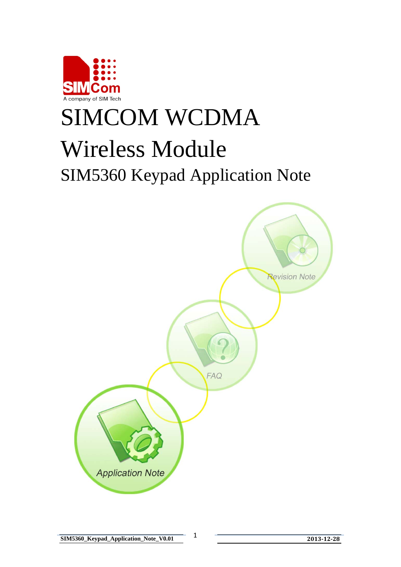

# SIMCOM WCDMA Wireless Module SIM5360 Keypad Application Note

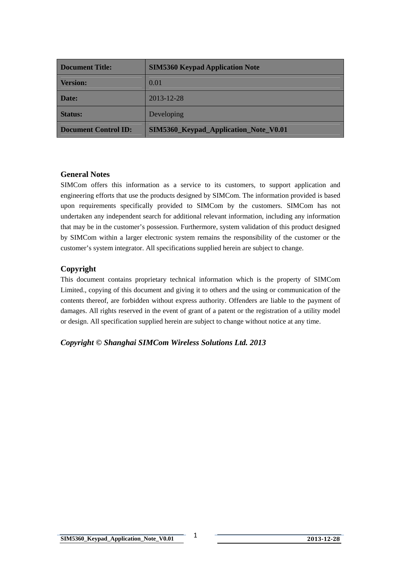| <b>Document Title:</b>      | <b>SIM5360 Keypad Application Note</b> |  |  |
|-----------------------------|----------------------------------------|--|--|
| <b>Version:</b>             | 0.01                                   |  |  |
| Date:                       | 2013-12-28                             |  |  |
| <b>Status:</b>              | Developing                             |  |  |
| <b>Document Control ID:</b> | SIM5360_Keypad_Application_Note_V0.01  |  |  |

#### **General Notes**

SIMCom offers this information as a service to its customers, to support application and engineering efforts that use the products designed by SIMCom. The information provided is based upon requirements specifically provided to SIMCom by the customers. SIMCom has not undertaken any independent search for additional relevant information, including any information that may be in the customer's possession. Furthermore, system validation of this product designed by SIMCom within a larger electronic system remains the responsibility of the customer or the customer's system integrator. All specifications supplied herein are subject to change.

#### **Copyright**

This document contains proprietary technical information which is the property of SIMCom Limited., copying of this document and giving it to others and the using or communication of the contents thereof, are forbidden without express authority. Offenders are liable to the payment of damages. All rights reserved in the event of grant of a patent or the registration of a utility model or design. All specification supplied herein are subject to change without notice at any time.

## *Copyright © Shanghai SIMCom Wireless Solutions Ltd. 2013*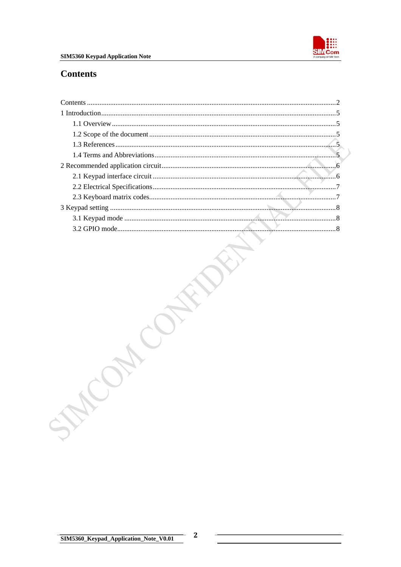

## <span id="page-2-0"></span>**Contents**

| SM |  |
|----|--|
|    |  |
|    |  |
|    |  |
|    |  |
|    |  |
|    |  |
|    |  |
|    |  |
|    |  |
|    |  |
|    |  |
|    |  |

 $\mathbf{2}$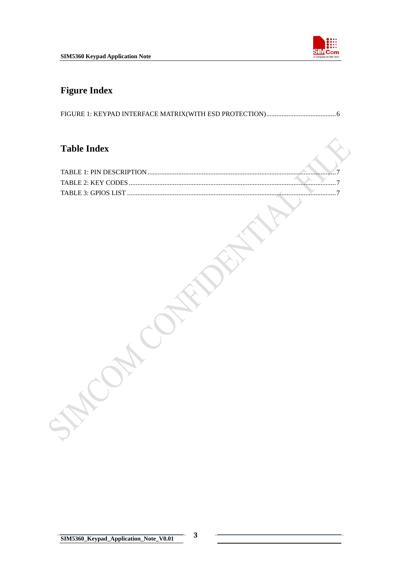

# **Figure Index**

FIGURE 1: KEYPAD INTERFACE [MATRIX\(WITH ESD PROTECTION\).........................................6](#page-6-0)

# **Table Index**

**CAN CONSIDERATIVE**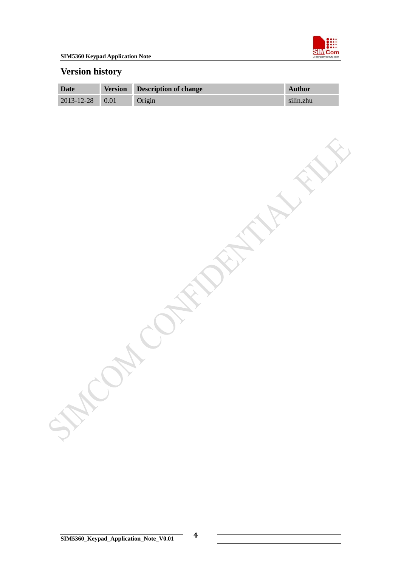

# **Version history**

| Date                  | <b>Version</b> | Description of change | Author    |
|-----------------------|----------------|-----------------------|-----------|
| $2013 - 12 - 28$ 0.01 |                | Origin                | silin.zhu |

ON CONFERENCE FILL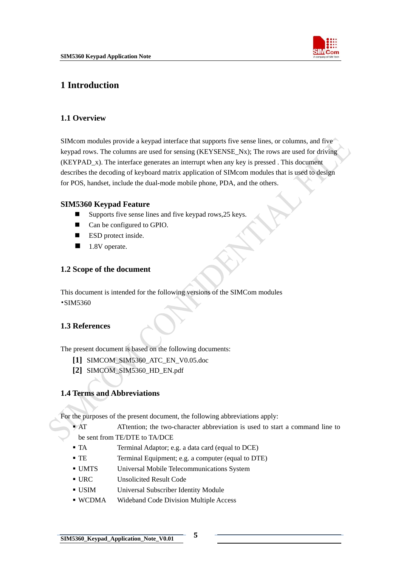

# <span id="page-5-0"></span>**1 Introduction**

#### **1.1 Overview**

SIMcom modules provide a keypad interface that supports five sense lines, or columns, and five keypad rows. The columns are used for sensing (KEYSENSE\_Nx); The rows are used for driving (KEYPAD\_x). The interface generates an interrupt when any key is pressed . This document describes the decoding of keyboard matrix application of SIMcom modules that is used to design for POS, handset, include the dual-mode mobile phone, PDA, and the others.

#### **SIM5360 Keypad Feature**

- $\blacksquare$  Supports five sense lines and five keypad rows, 25 keys.
- Can be configured to GPIO.
- **ESD** protect inside.
- 1.8V operate.

## **1.2 Scope of the document**

This document is intended for the following versions of the SIMCom modules •SIM5360

## **1.3 References**

The present document is based on the following documents:

- **[1]** SIMCOM\_SIM5360\_ATC\_EN\_V0.05.doc
- **[2]** SIMCOM\_SIM5360\_HD\_EN.pdf

#### **1.4 Terms and Abbreviations**

For the purposes of the present document, the following abbreviations apply:

- AT ATTENTION: the two-character abbreviation is used to start a command line to
- be sent from TE/DTE to TA/DCE
- TA Terminal Adaptor; e.g. a data card (equal to DCE)
- TE Terminal Equipment; e.g. a computer (equal to DTE)
- UMTS Universal Mobile Telecommunications System
- URC Unsolicited Result Code
- USIM Universal Subscriber Identity Module
- WCDMA Wideband Code Division Multiple Access

**SIM5360\_Keypad\_Application\_Note\_V0.01 5**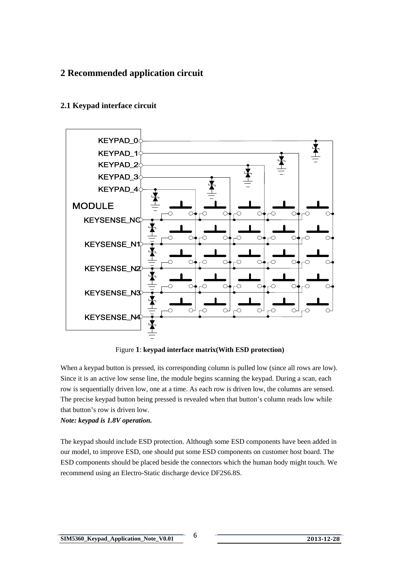# <span id="page-6-0"></span>**2 Recommended application circuit**



# **2.1 Keypad interface circuit**

Figure **1**: **keypad interface matrix(With ESD protection)** 

When a keypad button is pressed, its corresponding column is pulled low (since all rows are low). Since it is an active low sense line, the module begins scanning the keypad. During a scan, each row is sequentially driven low, one at a time. As each row is driven low, the columns are sensed. The precise keypad button being pressed is revealed when that button's column reads low while that button's row is driven low.

## *Note: keypad is 1.8V operation.*

The keypad should include ESD protection. Although some ESD components have been added in our model, to improve ESD, one should put some ESD components on customer host board. The ESD components should be placed beside the connectors which the human body might touch. We recommend using an Electro-Static discharge device DF2S6.8S.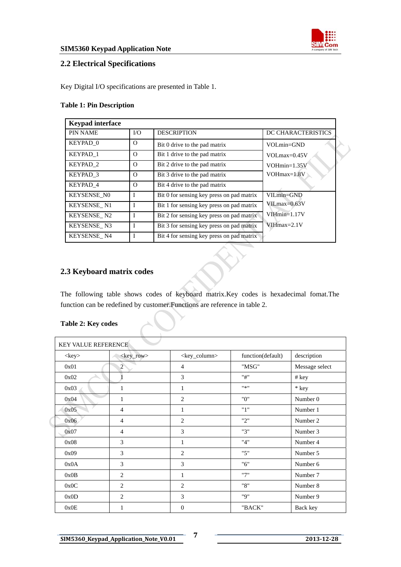

## <span id="page-7-0"></span>**2.2 Electrical Specifications**

Key Digital I/O specifications are presented in Table 1.

#### **Table 1: Pin Description**

| <b>Keypad</b> interface |          |                                           |                    |
|-------------------------|----------|-------------------------------------------|--------------------|
| <b>PIN NAME</b>         | I/O      | <b>DESCRIPTION</b>                        | DC CHARACTERISTICS |
| KEYPAD 0                | $\Omega$ | Bit 0 drive to the pad matrix             | VOLmin=GND         |
| KEYPAD 1                | $\Omega$ | Bit 1 drive to the pad matrix             | $VOLmax=0.45V$     |
| KEYPAD <sub>2</sub>     | $\Omega$ | Bit 2 drive to the pad matrix             | $VOHmin=1.35V$     |
| KEYPAD 3                | O        | Bit 3 drive to the pad matrix             | $VOHmax=1.8V$      |
| KEYPAD 4                | O        | Bit 4 drive to the pad matrix             |                    |
| <b>KEYSENSE NO</b>      | I        | Bit 0 for sensing key press on pad matrix | $VILmin = GND$     |
| KEYSENSE N1             | I        | Bit 1 for sensing key press on pad matrix | VILmax=0.63V       |
| KEYSENSE_N2             | I        | Bit 2 for sensing key press on pad matrix | $V$ IH $min=1.17V$ |
| KEYSENSE N3             | I        | Bit 3 for sensing key press on pad matrix | $V$ IHmax=2.1V     |
| KEYSENSE N4             | I        | Bit 4 for sensing key press on pad matrix |                    |

## **2.3 Keyboard matrix codes**

The following table shows codes of keyboard matrix.Key codes is hexadecimal fomat.The function can be redefined by customer.Functions are reference in table 2.

| Table 2: Key codes |  |  |
|--------------------|--|--|
|--------------------|--|--|

| <b>KEY VALUE REFERENCE</b> |                     |                           |                   |                |
|----------------------------|---------------------|---------------------------|-------------------|----------------|
| $<$ key $>$                | <key_row></key_row> | <key_column></key_column> | function(default) | description    |
| 0x01                       | $\overline{2}$      | 4                         | "MSG"             | Message select |
| 0x02                       |                     | 3                         | "#"               | # key          |
| 0x03                       | 1                   | 1                         | 0 <sub>2</sub>    | * key          |
| 0x04                       | 1                   | $\overline{2}$            | "0"               | Number 0       |
| 0x05                       | 4                   | 1                         | "1"               | Number 1       |
| 0x06                       | $\overline{4}$      | 2                         | "2"               | Number 2       |
| 0x07                       | 4                   | 3                         | "3"               | Number 3       |
| 0x08                       | 3                   | 1                         | "4"               | Number 4       |
| 0x09                       | 3                   | 2                         | "5"               | Number 5       |
| 0x0A                       | 3                   | 3                         | "6"               | Number 6       |
| 0x0B                       | $\overline{2}$      | 1                         | "7"               | Number 7       |
| 0x0C                       | $\overline{2}$      | $\overline{2}$            | "8"               | Number 8       |
| 0x0D                       | 2                   | 3                         | "Q"               | Number 9       |
| 0x0E                       | 1                   | $\mathbf{0}$              | "BACK"            | Back key       |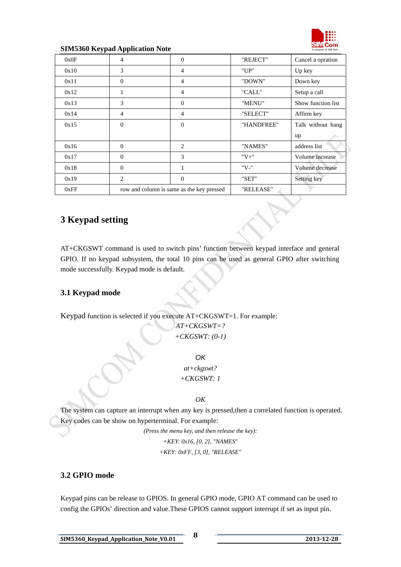

#### <span id="page-8-0"></span>**SIM5360 Keypad Application Note**

| 0x0F | $\overline{4}$              | $\mathbf{0}$                              | "REJECT"   | Cancel a opration  |
|------|-----------------------------|-------------------------------------------|------------|--------------------|
| 0x10 | 3                           | 4                                         | "UP"       | Up key             |
| 0x11 | $\Omega$                    | 4                                         | "DOWN"     | Down key           |
| 0x12 | 1                           | 4                                         | "CALL"     | Setup a call       |
| 0x13 | 3                           | $\Omega$                                  | "MENU"     | Show function list |
| 0x14 | $\overline{4}$              | 4                                         | "SELECT"   | Affirm key         |
| 0x15 | $\Omega$                    | $\Omega$                                  | "HANDFREE" | Talk without hang  |
|      |                             |                                           |            | up                 |
| 0x16 | $\Omega$                    | $\overline{c}$                            | "NAMES"    | address list       |
| 0x17 | $\Omega$                    | 3                                         | $"V+"$     | Volume increase    |
| 0x18 | $\Omega$                    | 1                                         | "V-"       | Volume decrease    |
| 0x19 | $\mathcal{D}_{\mathcal{L}}$ | $\Omega$                                  | "SET"      | Setting key        |
| 0xFF |                             | row and column is same as the key pressed | "RELEASE"  |                    |

# **3 Keypad setting**

AT+CKGSWT command is used to switch pins' function between keypad interface and general GPIO. If no keypad subsystem, the total 10 pins can be used as general GPIO after switching mode successfully. Keypad mode is default.

## **3.1 Keypad mode**

Keypad function is selected if you execute AT+CKGSWT=1. For example:

*AT+CKGSWT=? +CKGSWT: (0-1)* 

*OK at+ckgswt? +CKGSWT: 1* 

*OK* 

The system can capture an interrupt when any key is pressed,then a correlated function is operated. Key codes can be show on hyperterminal. For example:

> *(Press the menu key, and then release the key): +KEY: 0x16, [0, 2], "NAMES" +KEY: 0xFF, [3, 0], "RELEASE"*

## **3.2 GPIO mode**

Keypad pins can be release to GPIOS. In general GPIO mode, GPIO AT command can be used to config the GPIOs' direction and value.These GPIOS cannot support interrupt if set as input pin.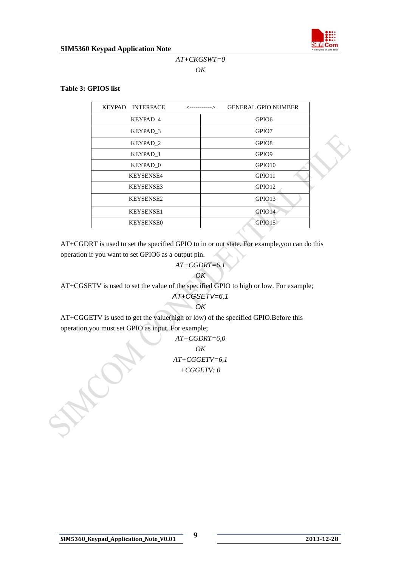

## *AT+CKGSWT=0 OK*

#### **Table 3: GPIOS list**

| KEYPAD INTERFACE    | <-----------> | <b>GENERAL GPIO NUMBER</b> |
|---------------------|---------------|----------------------------|
| KEYPAD 4            |               | GPIO <sub>6</sub>          |
| KEYPAD 3            |               | GPIO7                      |
| KEYPAD <sub>2</sub> |               | GPIO <sub>8</sub>          |
| KEYPAD 1            |               | GPIO <sub>9</sub>          |
| KEYPAD 0            |               | GPIO <sub>10</sub>         |
| <b>KEYSENSE4</b>    |               | GPIO11                     |
| <b>KEYSENSE3</b>    |               | GPIO12                     |
| <b>KEYSENSE2</b>    |               | GPIO13                     |
| <b>KEYSENSE1</b>    |               | GPIO14                     |
| <b>KEYSENSE0</b>    |               | GPIO15                     |

AT+CGDRT is used to set the specified GPIO to in or out state. For example,you can do this operation if you want to set GPIO6 as a output pin.

#### *AT+CGDRT=6,1 OK*

AT+CGSETV is used to set the value of the specified GPIO to high or low. For example;

#### *AT+CGSETV=6,1*   $OK$

AT+CGGETV is used to get the value(high or low) of the specified GPIO.Before this operation,you must set GPIO as input. For example;

> *AT+CGDRT=6,0 OK AT+CGGETV=6,1 +CGGETV: 0*

CON.